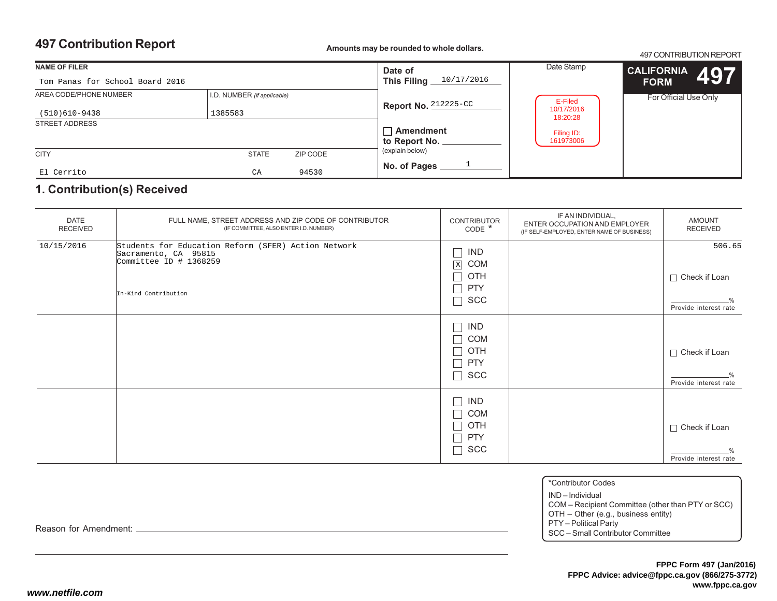497 CONTRIBUTION REPORT

| <b>NAME OF FILER</b>            |                             | Date of<br>This Filing 10/17/2016 | Date Stamp                        | <b>CALIFORNIA</b><br>497 |                       |
|---------------------------------|-----------------------------|-----------------------------------|-----------------------------------|--------------------------|-----------------------|
| Tom Panas for School Board 2016 |                             |                                   |                                   |                          | <b>FORM</b>           |
| AREA CODE/PHONE NUMBER          | I.D. NUMBER (if applicable) |                                   | Report No. 212225-CC              | E-Filed                  | For Official Use Only |
| (510)610-9438                   | 1385583                     |                                   |                                   | 10/17/2016<br>18:20:28   |                       |
| <b>STREET ADDRESS</b>           |                             |                                   |                                   |                          |                       |
|                                 |                             |                                   | $\Box$ Amendment<br>to Report No. | Filing ID:<br>161973006  |                       |
| <b>CITY</b>                     | <b>STATE</b>                | ZIP CODE                          | (explain below)                   |                          |                       |
| El Cerrito                      | CA                          | 94530                             | No. of Pages                      |                          |                       |

### **1. Contribution(s) Received**

| <b>DATE</b><br><b>RECEIVED</b> | FULL NAME, STREET ADDRESS AND ZIP CODE OF CONTRIBUTOR<br>(IF COMMITTEE, ALSO ENTER I.D. NUMBER)                                 | <b>CONTRIBUTOR</b><br>$CODE *$                                                     | IF AN INDIVIDUAL,<br>ENTER OCCUPATION AND EMPLOYER<br>(IF SELF-EMPLOYED, ENTER NAME OF BUSINESS) | <b>AMOUNT</b><br><b>RECEIVED</b>                        |
|--------------------------------|---------------------------------------------------------------------------------------------------------------------------------|------------------------------------------------------------------------------------|--------------------------------------------------------------------------------------------------|---------------------------------------------------------|
| 10/15/2016                     | Students for Education Reform (SFER) Action Network<br>Sacramento, CA 95815<br>Committee ID $#$ 1368259<br>In-Kind Contribution | <b>IND</b><br>Ξ<br>$\mathbf X$<br><b>COM</b><br>П<br>OTH<br><b>PTY</b><br>Г<br>SCC |                                                                                                  | 506.65<br>$\Box$ Check if Loan<br>Provide interest rate |
|                                |                                                                                                                                 | <b>IND</b><br>Ξ<br>Г<br><b>COM</b><br>OTH<br>$\sim$<br>Г<br><b>PTY</b><br>Г<br>SCC |                                                                                                  | $\Box$ Check if Loan<br>Provide interest rate           |
|                                |                                                                                                                                 | Ξ<br><b>IND</b><br>▔<br><b>COM</b><br>$\Box$<br>OTH<br><b>PTY</b><br>Г<br>SCC<br>Ξ |                                                                                                  | $\Box$ Check if Loan<br>Provide interest rate           |

\*Contributor Codes

IND – Individual

COM – Recipient Committee (other than PTY or SCC) OTH – Other (e.g., business entity)

PTY – Political Party SCC – Small Contributor Committee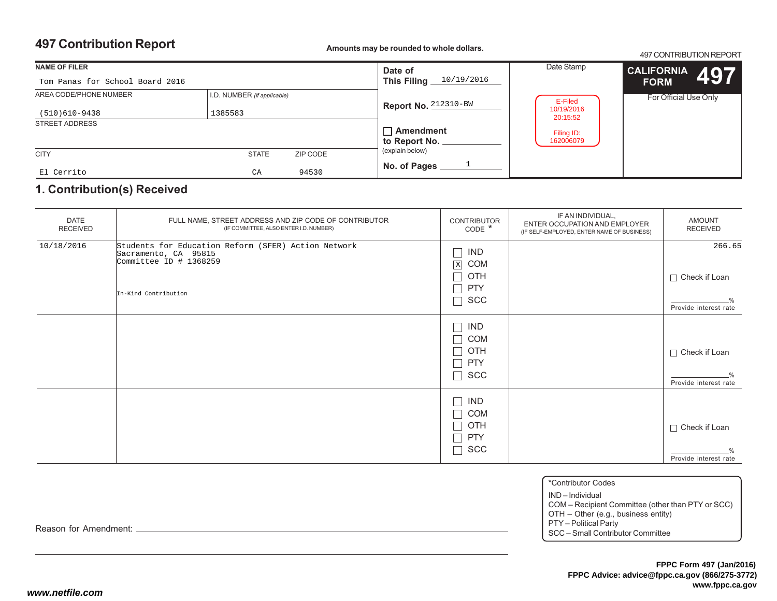497 CONTRIBUTION REPORT

| <b>NAME OF FILER</b>            |                             | Date of<br>10/19/2016 | Date Stamp                        | <b>CALIFORNIA</b><br>497 |                       |
|---------------------------------|-----------------------------|-----------------------|-----------------------------------|--------------------------|-----------------------|
| Tom Panas for School Board 2016 |                             |                       | This Filing _                     |                          | <b>FORM</b>           |
| AREA CODE/PHONE NUMBER          | I.D. NUMBER (if applicable) |                       | Report No. 212310-BW              | E-Filed                  | For Official Use Only |
| (510)610-9438                   | 1385583                     |                       |                                   | 10/19/2016<br>20:15:52   |                       |
| <b>STREET ADDRESS</b>           |                             |                       |                                   |                          |                       |
|                                 |                             |                       | $\Box$ Amendment<br>to Report No. | Filing ID:<br>162006079  |                       |
|                                 |                             |                       |                                   |                          |                       |
| <b>CITY</b>                     | <b>STATE</b>                | ZIP CODE              | (explain below)                   |                          |                       |
|                                 |                             |                       | No. of Pages                      |                          |                       |
| El Cerrito                      | CA                          | 94530                 |                                   |                          |                       |

### **1. Contribution(s) Received**

| <b>DATE</b><br><b>RECEIVED</b> | FULL NAME, STREET ADDRESS AND ZIP CODE OF CONTRIBUTOR<br>(IF COMMITTEE, ALSO ENTER I.D. NUMBER)                                  | <b>CONTRIBUTOR</b><br>CODE <sup>*</sup>                                                      | IF AN INDIVIDUAL,<br>ENTER OCCUPATION AND EMPLOYER<br>(IF SELF-EMPLOYED, ENTER NAME OF BUSINESS) | <b>AMOUNT</b><br>RECEIVED                               |
|--------------------------------|----------------------------------------------------------------------------------------------------------------------------------|----------------------------------------------------------------------------------------------|--------------------------------------------------------------------------------------------------|---------------------------------------------------------|
| 10/18/2016                     | Students for Education Reform (SFER) Action Network<br>Sacramento, CA 95815<br>Committee ID $\#$ 1368259<br>In-Kind Contribution | Ξ<br><b>IND</b><br>$\mathbf X$<br><b>COM</b><br>$\Box$<br>OTH<br><b>PTY</b><br>Г<br>Г<br>SCC |                                                                                                  | 266.65<br>$\Box$ Check if Loan<br>Provide interest rate |
|                                |                                                                                                                                  | <b>IND</b><br>Ξ<br><b>COM</b><br>Ξ<br>OTH<br>Ξ<br><b>PTY</b><br>SCC<br>Г                     |                                                                                                  | $\Box$ Check if Loan<br>Provide interest rate           |
|                                |                                                                                                                                  | Τ<br>IND<br>▔<br><b>COM</b><br>OTH<br>$\Box$<br><b>PTY</b><br>Г<br>SCC<br>Ξ                  |                                                                                                  | $\Box$ Check if Loan<br>Provide interest rate           |

IND – Individual

 COM – Recipient Committee (other than PTY or SCC) OTH – Other (e.g., business entity)

PTY – Political Party

SCC – Small Contributor Committee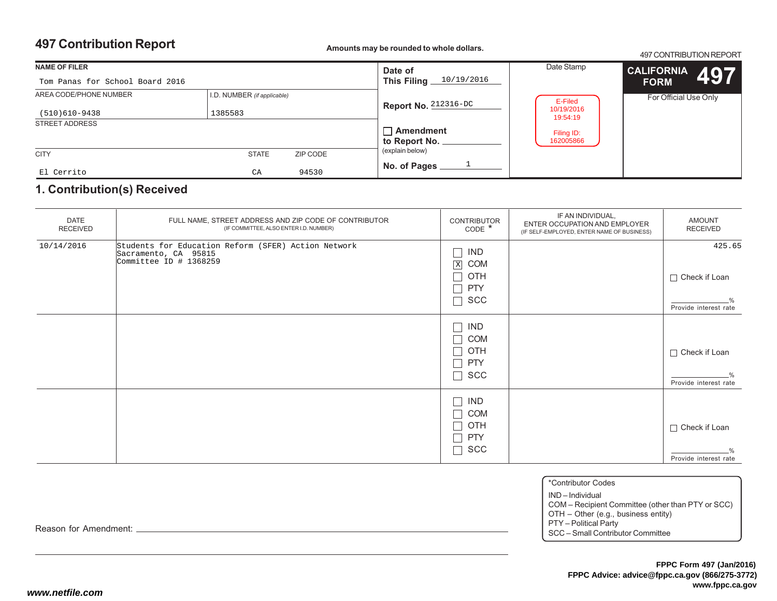497 CONTRIBUTION REPORT

| <b>NAME OF FILER</b><br>Tom Panas for School Board 2016 |                             | Date of<br>10/19/2016<br>This Filing $\equiv$ | Date Stamp                        | CALIFORNIA 497<br><b>FORM</b>       |                       |
|---------------------------------------------------------|-----------------------------|-----------------------------------------------|-----------------------------------|-------------------------------------|-----------------------|
| AREA CODE/PHONE NUMBER                                  | I.D. NUMBER (if applicable) |                                               | Report No. $212316 - DC$          | E-Filed<br>10/19/2016               | For Official Use Only |
| (510)610-9438<br><b>STREET ADDRESS</b>                  | 1385583                     |                                               | $\Box$ Amendment<br>to Report No. | 19:54:19<br>Filing ID:<br>162005866 |                       |
| <b>CITY</b>                                             | <b>STATE</b>                | ZIP CODE                                      | (explain below)                   |                                     |                       |
| El Cerrito                                              | CA                          | 94530                                         | No. of Pages                      |                                     |                       |

### **1. Contribution(s) Received**

| <b>DATE</b><br><b>RECEIVED</b> | FULL NAME, STREET ADDRESS AND ZIP CODE OF CONTRIBUTOR<br>(IF COMMITTEE, ALSO ENTER I.D. NUMBER)         | <b>CONTRIBUTOR</b><br>$CODE *$                                                                                          | IF AN INDIVIDUAL,<br>ENTER OCCUPATION AND EMPLOYER<br>(IF SELF-EMPLOYED, ENTER NAME OF BUSINESS) | <b>AMOUNT</b><br><b>RECEIVED</b>                        |
|--------------------------------|---------------------------------------------------------------------------------------------------------|-------------------------------------------------------------------------------------------------------------------------|--------------------------------------------------------------------------------------------------|---------------------------------------------------------|
| 10/14/2016                     | Students for Education Reform (SFER) Action Network<br>Sacramento, CA 95815<br>Committee ID $#$ 1368259 | Ξ<br><b>IND</b><br>$\mathbf X$<br><b>COM</b><br>П<br>OTH<br><b>PTY</b><br>Ξ<br>Г<br>SCC                                 |                                                                                                  | 425.65<br>$\Box$ Check if Loan<br>Provide interest rate |
|                                |                                                                                                         | IND<br>Ξ<br>Τ<br><b>COM</b><br>OTH<br>$\mathcal{L}_{\mathcal{A}}$<br><b>PTY</b><br>Τ<br>$\overline{\phantom{a}}$<br>SCC |                                                                                                  | $\Box$ Check if Loan<br>Provide interest rate           |
|                                |                                                                                                         | <b>IND</b><br>Τ<br>▔<br><b>COM</b><br>OTH<br>$\sim$<br><b>PTY</b><br>Г<br>SCC<br>Τ                                      |                                                                                                  | $\Box$ Check if Loan<br>Provide interest rate           |

\*Contributor Codes

IND – Individual

COM – Recipient Committee (other than PTY or SCC) OTH – Other (e.g., business entity)

PTY – Political Party SCC – Small Contributor Committee